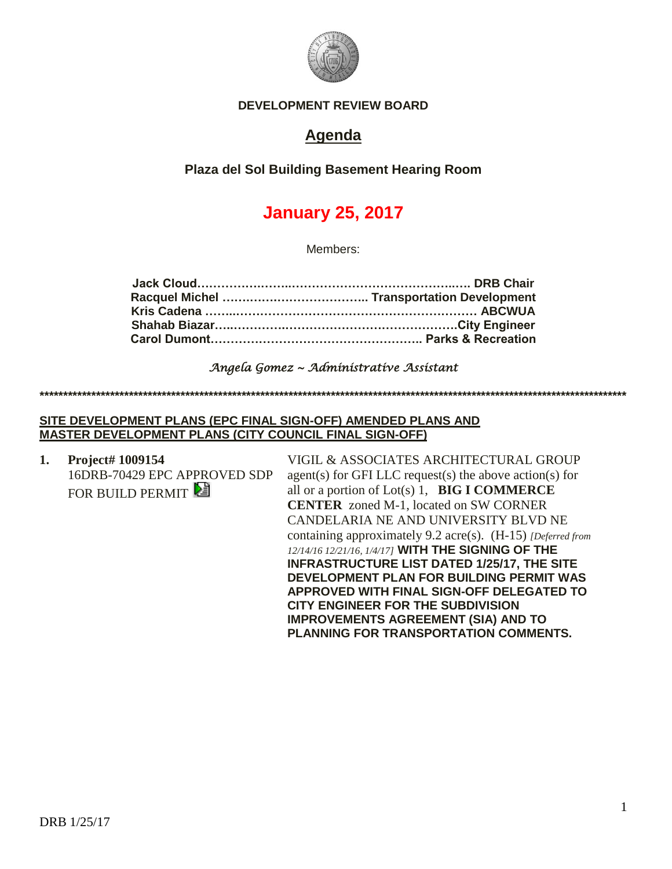

### **DEVELOPMENT REVIEW BOARD**

# **Agenda**

**Plaza del Sol Building Basement Hearing Room**

# **January 25, 2017**

Members:

### *Angela Gomez ~ Administrative Assistant*

**\*\*\*\*\*\*\*\*\*\*\*\*\*\*\*\*\*\*\*\*\*\*\*\*\*\*\*\*\*\*\*\*\*\*\*\*\*\*\*\*\*\*\*\*\*\*\*\*\*\*\*\*\*\*\*\*\*\*\*\*\*\*\*\*\*\*\*\*\*\*\*\*\*\*\*\*\*\*\*\*\*\*\*\*\*\*\*\*\*\*\*\*\*\*\*\*\*\*\*\*\*\*\*\*\*\*\*\*\*\*\*\*\*\*\*\*\*\*\*\*\*\*\*\*\***

### **SITE DEVELOPMENT PLANS (EPC FINAL SIGN-OFF) AMENDED PLANS AND MASTER DEVELOPMENT PLANS (CITY COUNCIL FINAL SIGN-OFF)**

**1. Project# 1009154** 16DRB-70429 EPC APPROVED SDP FOR BUILD PERMIT

VIGIL & ASSOCIATES ARCHITECTURAL GROUP agent(s) for GFI LLC request(s) the above action(s) for all or a portion of Lot(s) 1, **BIG I COMMERCE CENTER** zoned M-1, located on SW CORNER CANDELARIA NE AND UNIVERSITY BLVD NE containing approximately 9.2 acre(s). (H-15) *[Deferred from 12/14/16 12/21/16, 1/4/17]* **WITH THE SIGNING OF THE INFRASTRUCTURE LIST DATED 1/25/17, THE SITE DEVELOPMENT PLAN FOR BUILDING PERMIT WAS APPROVED WITH FINAL SIGN-OFF DELEGATED TO CITY ENGINEER FOR THE SUBDIVISION IMPROVEMENTS AGREEMENT (SIA) AND TO PLANNING FOR TRANSPORTATION COMMENTS.**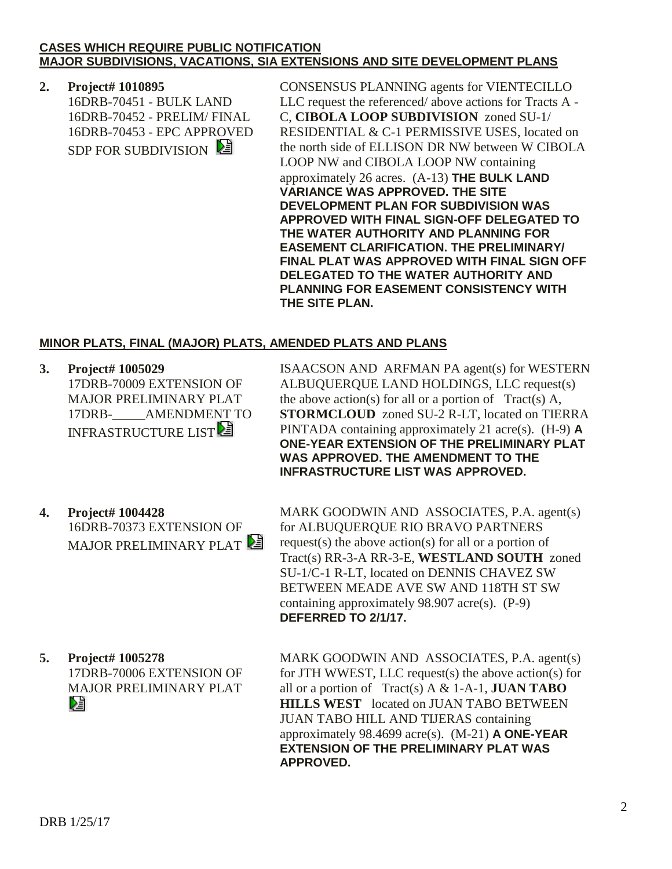### **CASES WHICH REQUIRE PUBLIC NOTIFICATION MAJOR SUBDIVISIONS, VACATIONS, SIA EXTENSIONS AND SITE DEVELOPMENT PLANS**

## **2. Project# 1010895**

16DRB-70451 - BULK LAND 16DRB-70452 - PRELIM/ FINAL 16DRB-70453 - EPC APPROVED SDP FOR SUBDIVISION

CONSENSUS PLANNING agents for VIENTECILLO LLC request the referenced/ above actions for Tracts A - C, **CIBOLA LOOP SUBDIVISION** zoned SU-1/ RESIDENTIAL & C-1 PERMISSIVE USES, located on the north side of ELLISON DR NW between W CIBOLA LOOP NW and CIBOLA LOOP NW containing approximately 26 acres. (A-13) **THE BULK LAND VARIANCE WAS APPROVED. THE SITE DEVELOPMENT PLAN FOR SUBDIVISION WAS APPROVED WITH FINAL SIGN-OFF DELEGATED TO THE WATER AUTHORITY AND PLANNING FOR EASEMENT CLARIFICATION. THE PRELIMINARY/ FINAL PLAT WAS APPROVED WITH FINAL SIGN OFF DELEGATED TO THE WATER AUTHORITY AND PLANNING FOR EASEMENT CONSISTENCY WITH THE SITE PLAN.**

### **MINOR PLATS, FINAL (MAJOR) PLATS, AMENDED PLATS AND PLANS**

**3. Project# 1005029** 17DRB-70009 EXTENSION OF MAJOR PRELIMINARY PLAT 17DRB-\_\_\_\_\_AMENDMENT TO INFRASTRUCTURE LIST<sup>2</sup>

ISAACSON AND ARFMAN PA agent(s) for WESTERN ALBUQUERQUE LAND HOLDINGS, LLC request(s) the above action(s) for all or a portion of  $Tract(s)$  A, **STORMCLOUD** zoned SU-2 R-LT, located on TIERRA PINTADA containing approximately 21 acre(s). (H-9) **A ONE-YEAR EXTENSION OF THE PRELIMINARY PLAT WAS APPROVED. THE AMENDMENT TO THE INFRASTRUCTURE LIST WAS APPROVED.**

**4. Project# 1004428** 16DRB-70373 EXTENSION OF MAJOR PRELIMINARY PLAT

MARK GOODWIN AND ASSOCIATES, P.A. agent(s) for ALBUQUERQUE RIO BRAVO PARTNERS request(s) the above action(s) for all or a portion of Tract(s) RR-3-A RR-3-E, **WESTLAND SOUTH** zoned SU-1/C-1 R-LT, located on DENNIS CHAVEZ SW BETWEEN MEADE AVE SW AND 118TH ST SW containing approximately 98.907 acre(s). (P-9) **DEFERRED TO 2/1/17.**

**5. Project# 1005278** 17DRB-70006 EXTENSION OF MAJOR PRELIMINARY PLAT 

MARK GOODWIN AND ASSOCIATES, P.A. agent(s) for JTH WWEST, LLC request(s) the above action(s) for all or a portion of Tract(s) A & 1-A-1, **JUAN TABO HILLS WEST** located on JUAN TABO BETWEEN JUAN TABO HILL AND TIJERAS containing approximately 98.4699 acre(s). (M-21) **A ONE-YEAR EXTENSION OF THE PRELIMINARY PLAT WAS APPROVED.**